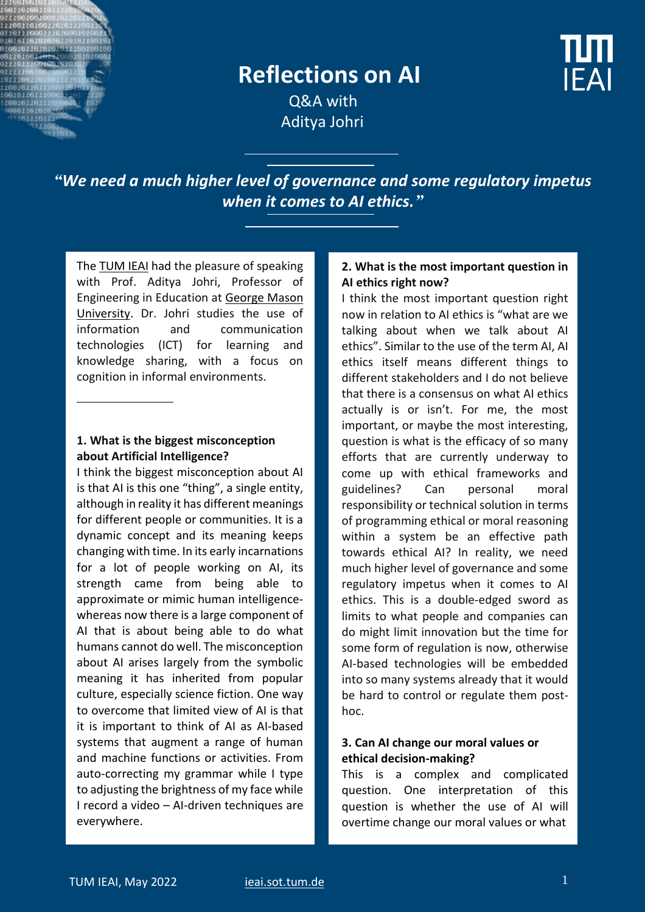

# **Reflections on AI**

**IFAI** 

 Q&A with Aditya Johri

*"We need a much higher level of governance and some regulatory impetus when it comes to AI ethics."*

The **TUM IEAI** had the pleasure of speaking with Prof. Aditya Johri, Professor of Engineering in Education at [George Mason](https://ist.gmu.edu/people/detail/aditya-johri/)  [University.](https://ist.gmu.edu/people/detail/aditya-johri/) Dr. Johri studies the use of information and communication technologies (ICT) for learning and knowledge sharing, with a focus on cognition in informal environments.

# **1. What is the biggest misconception about Artificial Intelligence?**

I think the biggest misconception about AI is that AI is this one "thing", a single entity, although in reality it has different meanings for different people or communities. It is a dynamic concept and its meaning keeps changing with time. In its early incarnations for a lot of people working on AI, its strength came from being able to approximate or mimic human intelligencewhereas now there is a large component of AI that is about being able to do what humans cannot do well. The misconception about AI arises largely from the symbolic meaning it has inherited from popular culture, especially science fiction. One way to overcome that limited view of AI is that it is important to think of AI as AI-based systems that augment a range of human and machine functions or activities. From auto-correcting my grammar while I type to adjusting the brightness of my face while I record a video – AI-driven techniques are everywhere.

#### **2. What is the most important question in AI ethics right now?**

I think the most important question right now in relation to AI ethics is "what are we talking about when we talk about AI ethics". Similar to the use of the term AI, AI ethics itself means different things to different stakeholders and I do not believe that there is a consensus on what AI ethics actually is or isn't. For me, the most important, or maybe the most interesting, question is what is the efficacy of so many efforts that are currently underway to come up with ethical frameworks and guidelines? Can personal moral responsibility or technical solution in terms of programming ethical or moral reasoning within a system be an effective path towards ethical AI? In reality, we need much higher level of governance and some regulatory impetus when it comes to AI ethics. This is a double-edged sword as limits to what people and companies can do might limit innovation but the time for some form of regulation is now, otherwise AI-based technologies will be embedded into so many systems already that it would be hard to control or regulate them posthoc.

#### **3. Can AI change our moral values or ethical decision-making?**

This is a complex and complicated question. One interpretation of this question is whether the use of AI will overtime change our moral values or what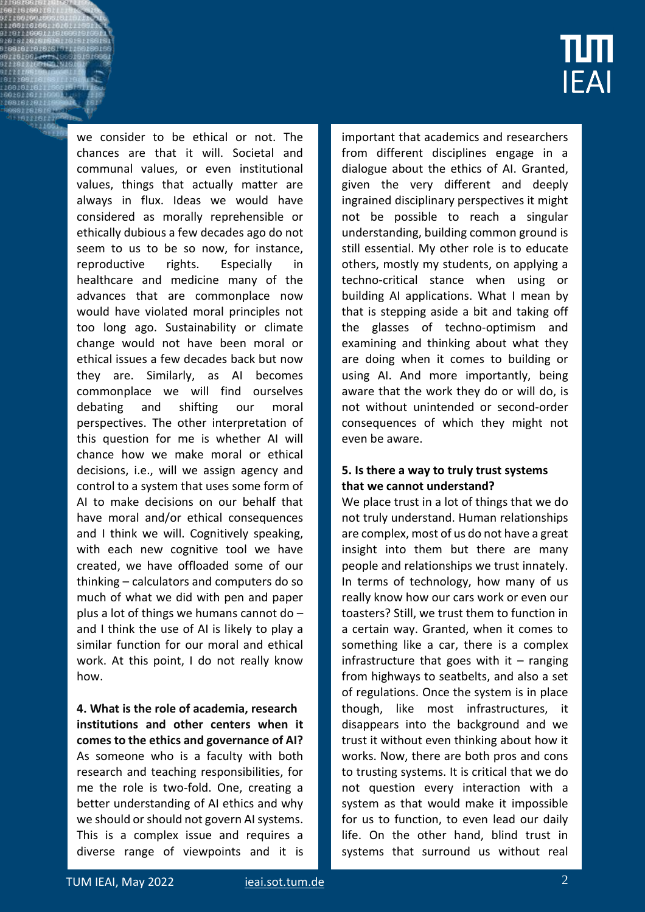

we consider to be ethical or not. The chances are that it will. Societal and communal values, or even institutional values, things that actually matter are always in flux. Ideas we would have considered as morally reprehensible or ethically dubious a few decades ago do not seem to us to be so now, for instance, reproductive rights. Especially in healthcare and medicine many of the advances that are commonplace now would have violated moral principles not too long ago. Sustainability or climate change would not have been moral or ethical issues a few decades back but now they are. Similarly, as AI becomes commonplace we will find ourselves debating and shifting our moral perspectives. The other interpretation of this question for me is whether AI will chance how we make moral or ethical decisions, i.e., will we assign agency and control to a system that uses some form of AI to make decisions on our behalf that have moral and/or ethical consequences and I think we will. Cognitively speaking, with each new cognitive tool we have created, we have offloaded some of our thinking – calculators and computers do so much of what we did with pen and paper plus a lot of things we humans cannot do – and I think the use of AI is likely to play a similar function for our moral and ethical work. At this point, I do not really know how.

**4. What is the role of academia, research institutions and other centers when it comes to the ethics and governance of AI?** As someone who is a faculty with both research and teaching responsibilities, for me the role is two-fold. One, creating a better understanding of AI ethics and why we should or should not govern AI systems. This is a complex issue and requires a diverse range of viewpoints and it is important that academics and researchers from different disciplines engage in a dialogue about the ethics of AI. Granted, given the very different and deeply ingrained disciplinary perspectives it might not be possible to reach a singular understanding, building common ground is still essential. My other role is to educate others, mostly my students, on applying a techno-critical stance when using or building AI applications. What I mean by that is stepping aside a bit and taking off the glasses of techno-optimism and examining and thinking about what they are doing when it comes to building or using AI. And more importantly, being aware that the work they do or will do, is not without unintended or second-order consequences of which they might not even be aware.

# **5. Is there a way to truly trust systems that we cannot understand?**

We place trust in a lot of things that we do not truly understand. Human relationships are complex, most of us do not have a great insight into them but there are many people and relationships we trust innately. In terms of technology, how many of us really know how our cars work or even our toasters? Still, we trust them to function in a certain way. Granted, when it comes to something like a car, there is a complex infrastructure that goes with it  $-$  ranging from highways to seatbelts, and also a set of regulations. Once the system is in place though, like most infrastructures, it disappears into the background and we trust it without even thinking about how it works. Now, there are both pros and cons to trusting systems. It is critical that we do not question every interaction with a system as that would make it impossible for us to function, to even lead our daily life. On the other hand, blind trust in systems that surround us without real